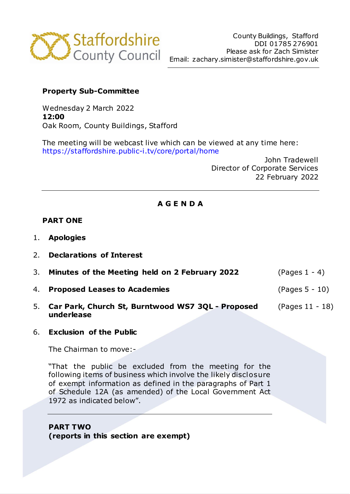

# **Property Sub-Committee**

Wednesday 2 March 2022 **12:00** Oak Room, County Buildings, Stafford

The meeting will be webcast live which can be viewed at any time here: https://staffordshire.public-i.tv/core/portal/home

> John Tradewell Director of Corporate Services 22 February 2022

# **A G E N D A**

### **PART ONE**

- 1. **Apologies**
- 2. **Declarations of Interest**
- 3. **Minutes of the Meeting held on 2 February 2022** (Pages 1 4)
- 4. **Proposed Leases to Academies** (Pages 5 10)
- 5. **Car Park, Church St, Burntwood WS7 3QL - Proposed underlease** (Pages 11 - 18)
- 6. **Exclusion of the Public**

The Chairman to move:-

"That the public be excluded from the meeting for the following items of business which involve the likely disclosure of exempt information as defined in the paragraphs of Part 1 of Schedule 12A (as amended) of the Local Government Act 1972 as indicated below".

**PART TWO (reports in this section are exempt)**